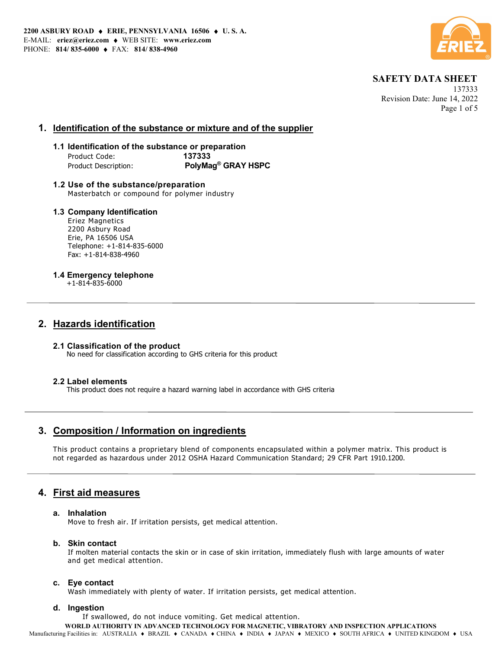

 137333 Revision Date: June 14, 2022 Page 1 of 5

### 1. Identification of the substance or mixture and of the supplier

### 1.1 Identification of the substance or preparation Product Code: 137333 Product Description: PolyMag<sup>®</sup> GRAY HSPC

1.2 Use of the substance/preparation Masterbatch or compound for polymer industry

### 1.3 Company Identification

Eriez Magnetics 2200 Asbury Road Erie, PA 16506 USA Telephone: +1-814-835-6000 Fax: +1-814-838-4960

### 1.4 Emergency telephone

+1-814-835-6000

## 2. Hazards identification

#### 2.1 Classification of the product No need for classification according to GHS criteria for this product

### 2.2 Label elements

This product does not require a hazard warning label in accordance with GHS criteria

## 3. Composition / Information on ingredients

This product contains a proprietary blend of components encapsulated within a polymer matrix. This product is not regarded as hazardous under 2012 OSHA Hazard Communication Standard; 29 CFR Part 1910.1200.

## 4. First aid measures

### a. Inhalation

Move to fresh air. If irritation persists, get medical attention.

### b. Skin contact

If molten material contacts the skin or in case of skin irritation, immediately flush with large amounts of water and get medical attention.

### c. Eye contact

Wash immediately with plenty of water. If irritation persists, get medical attention.

### d. Ingestion

If swallowed, do not induce vomiting. Get medical attention.

WORLD AUTHORITY IN ADVANCED TECHNOLOGY FOR MAGNETIC, VIBRATORY AND INSPECTION APPLICATIONS

Manufacturing Facilities in: AUSTRALIA • BRAZIL • CANADA • CHINA • INDIA • JAPAN • MEXICO • SOUTH AFRICA • UNITED KINGDOM • USA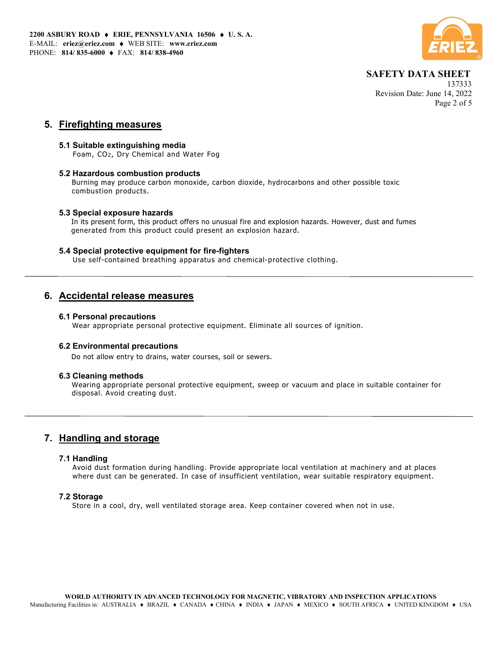

 137333 Revision Date: June 14, 2022 Page 2 of 5

### 5. Firefighting measures

### 5.1 Suitable extinguishing media

Foam, CO2, Dry Chemical and Water Fog

### 5.2 Hazardous combustion products

Burning may produce carbon monoxide, carbon dioxide, hydrocarbons and other possible toxic combustion products.

### 5.3 Special exposure hazards

In its present form, this product offers no unusual fire and explosion hazards. However, dust and fumes generated from this product could present an explosion hazard.

### 5.4 Special protective equipment for fire-fighters

Use self-contained breathing apparatus and chemical-protective clothing.

### 6. Accidental release measures

#### 6.1 Personal precautions

Wear appropriate personal protective equipment. Eliminate all sources of ignition.

### 6.2 Environmental precautions

Do not allow entry to drains, water courses, soil or sewers.

#### 6.3 Cleaning methods

Wearing appropriate personal protective equipment, sweep or vacuum and place in suitable container for disposal. Avoid creating dust.

## 7. Handling and storage

#### 7.1 Handling

Avoid dust formation during handling. Provide appropriate local ventilation at machinery and at places where dust can be generated. In case of insufficient ventilation, wear suitable respiratory equipment.

### 7.2 Storage

Store in a cool, dry, well ventilated storage area. Keep container covered when not in use.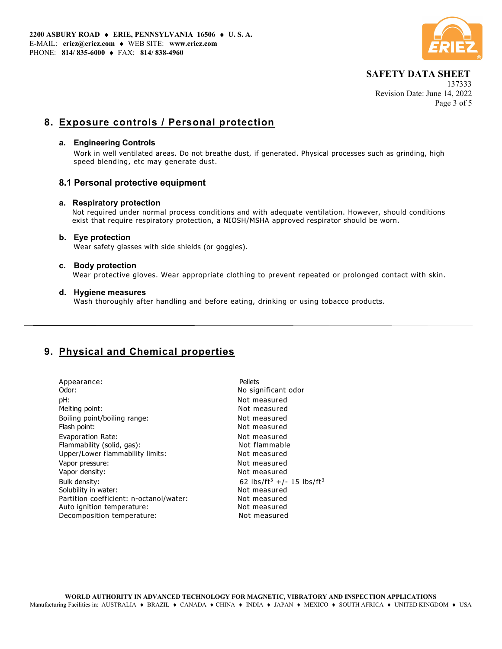

 137333 Revision Date: June 14, 2022 Page 3 of 5

## 8. Exposure controls / Personal protection

### a. Engineering Controls

Work in well ventilated areas. Do not breathe dust, if generated. Physical processes such as grinding, high speed blending, etc may generate dust.

### 8.1 Personal protective equipment

### a. Respiratory protection

 Not required under normal process conditions and with adequate ventilation. However, should conditions exist that require respiratory protection, a NIOSH/MSHA approved respirator should be worn.

### b. Eye protection

Wear safety glasses with side shields (or goggles).

### c. Body protection

Wear protective gloves. Wear appropriate clothing to prevent repeated or prolonged contact with skin.

### d. Hygiene measures

Wash thoroughly after handling and before eating, drinking or using tobacco products.

# 9. Physical and Chemical properties

| Appearance:<br>Odor:                    | Pellets<br>No significant odor                    |
|-----------------------------------------|---------------------------------------------------|
| pH:                                     | Not measured                                      |
| Melting point:                          | Not measured                                      |
| Boiling point/boiling range:            | Not measured                                      |
| Flash point:                            | Not measured                                      |
| Evaporation Rate:                       | Not measured                                      |
| Flammability (solid, gas):              | Not flammable                                     |
| Upper/Lower flammability limits:        | Not measured                                      |
| Vapor pressure:                         | Not measured                                      |
| Vapor density:                          | Not measured                                      |
| Bulk density:                           | 62 lbs/ft <sup>3</sup> +/- 15 lbs/ft <sup>3</sup> |
| Solubility in water:                    | Not measured                                      |
| Partition coefficient: n-octanol/water: | Not measured                                      |
| Auto ignition temperature:              | Not measured                                      |
| Decomposition temperature:              | Not measured                                      |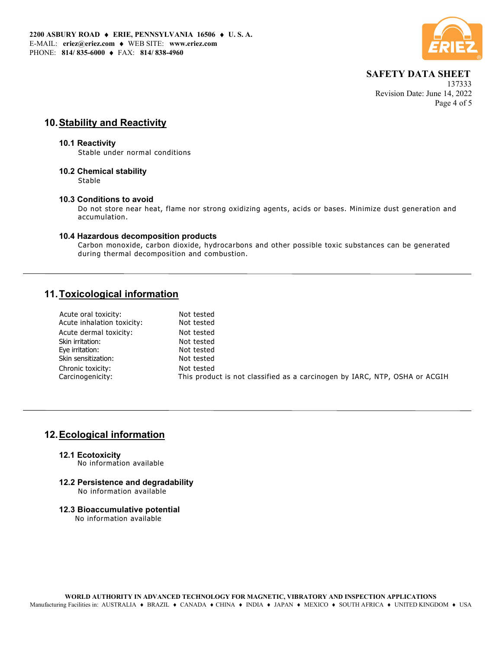

 137333 Revision Date: June 14, 2022 Page 4 of 5

## 10. Stability and Reactivity

#### 10.1 Reactivity

Stable under normal conditions

### 10.2 Chemical stability

Stable

### 10.3 Conditions to avoid

Do not store near heat, flame nor strong oxidizing agents, acids or bases. Minimize dust generation and accumulation.

### 10.4 Hazardous decomposition products

Carbon monoxide, carbon dioxide, hydrocarbons and other possible toxic substances can be generated during thermal decomposition and combustion.

## 11. Toxicological information

| Acute oral toxicity:       | Not tested                                                                 |
|----------------------------|----------------------------------------------------------------------------|
| Acute inhalation toxicity: | Not tested                                                                 |
| Acute dermal toxicity:     | Not tested                                                                 |
| Skin irritation:           | Not tested                                                                 |
| Eye irritation:            | Not tested                                                                 |
| Skin sensitization:        | Not tested                                                                 |
| Chronic toxicity:          | Not tested                                                                 |
| Carcinogenicity:           | This product is not classified as a carcinogen by IARC, NTP, OSHA or ACGIH |
|                            |                                                                            |

## 12. Ecological information

#### 12.1 Ecotoxicity No information available

- 12.2 Persistence and degradability No information available
- 12.3 Bioaccumulative potential No information available